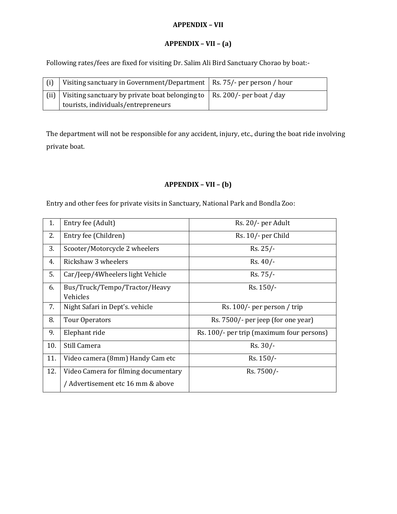## **APPENDIX – VII**

## **APPENDIX – VII – (a)**

Following rates/fees are fixed for visiting Dr. Salim Ali Bird Sanctuary Chorao by boat:-

| Visiting sanctuary in Government/Department   Rs. 75/- per person / hour                |  |
|-----------------------------------------------------------------------------------------|--|
| (ii)   Visiting sanctuary by private boat belonging to $\vert$ Rs. 200/- per boat / day |  |
| tourists, individuals/entrepreneurs                                                     |  |

The department will not be responsible for any accident, injury, etc., during the boat ride involving private boat.

# **APPENDIX – VII – (b)**

Entry and other fees for private visits in Sanctuary, National Park and Bondla Zoo:

| 1.  | Entry fee (Adult)                         | Rs. 20/- per Adult                        |
|-----|-------------------------------------------|-------------------------------------------|
| 2.  | Entry fee (Children)                      | Rs. 10/- per Child                        |
| 3.  | Scooter/Motorcycle 2 wheelers             | Rs. 25/-                                  |
| 4.  | Rickshaw 3 wheelers                       | $Rs. 40/$ -                               |
| 5.  | Car/Jeep/4Wheelers light Vehicle          | Rs. 75/-                                  |
| 6.  | Bus/Truck/Tempo/Tractor/Heavy<br>Vehicles | Rs. 150/-                                 |
| 7.  | Night Safari in Dept's. vehicle           | Rs. 100/- per person / trip               |
| 8.  | <b>Tour Operators</b>                     | Rs. 7500/- per jeep (for one year)        |
| 9.  | Elephant ride                             | Rs. 100/- per trip (maximum four persons) |
| 10. | Still Camera                              | $Rs. 30/-$                                |
| 11. | Video camera (8mm) Handy Cam etc          | Rs. 150/-                                 |
| 12. | Video Camera for filming documentary      | Rs. 7500/-                                |
|     | / Advertisement etc 16 mm & above         |                                           |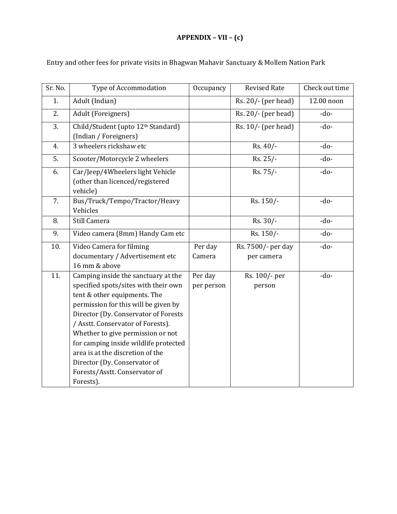# **APPENDIX – VII – (c)**

| Sr. No. | Type of Accommodation                                                                                                                                                                                                                                                                                                                                                                                                            | Occupancy             | <b>Revised Rate</b>              | Check out time |
|---------|----------------------------------------------------------------------------------------------------------------------------------------------------------------------------------------------------------------------------------------------------------------------------------------------------------------------------------------------------------------------------------------------------------------------------------|-----------------------|----------------------------------|----------------|
| 1.      | Adult (Indian)                                                                                                                                                                                                                                                                                                                                                                                                                   |                       | Rs. 20/- (per head)              | 12.00 noon     |
| 2.      | Adult (Foreigners)                                                                                                                                                                                                                                                                                                                                                                                                               |                       | Rs. 20/- (per head)              | $-do-$         |
| 3.      | Child/Student (upto 12th Standard)<br>(Indian / Foreigners)                                                                                                                                                                                                                                                                                                                                                                      |                       | Rs. 10/- (per head)              | $-do-$         |
| 4.      | 3 wheelers rickshaw etc                                                                                                                                                                                                                                                                                                                                                                                                          |                       | Rs. 40/-                         | $-do-$         |
| 5.      | Scooter/Motorcycle 2 wheelers                                                                                                                                                                                                                                                                                                                                                                                                    |                       | Rs. 25/-                         | $-do-$         |
| 6.      | Car/Jeep/4Wheelers light Vehicle<br>(other than licenced/registered<br>vehicle)                                                                                                                                                                                                                                                                                                                                                  |                       | Rs. 75/-                         | $-do-$         |
| 7.      | Bus/Truck/Tempo/Tractor/Heavy<br>Vehicles                                                                                                                                                                                                                                                                                                                                                                                        |                       | Rs. 150/-                        | $-do-$         |
| 8.      | Still Camera                                                                                                                                                                                                                                                                                                                                                                                                                     |                       | Rs. 30/-                         | $-do-$         |
| 9.      | Video camera (8mm) Handy Cam etc                                                                                                                                                                                                                                                                                                                                                                                                 |                       | Rs. 150/-                        | $-do-$         |
| 10.     | Video Camera for filming<br>documentary / Advertisement etc<br>16 mm & above                                                                                                                                                                                                                                                                                                                                                     | Per day<br>Camera     | Rs. 7500/- per day<br>per camera | $-do-$         |
| 11.     | Camping inside the sanctuary at the<br>specified spots/sites with their own<br>tent & other equipments. The<br>permission for this will be given by<br>Director (Dy. Conservator of Forests<br>/ Asstt. Conservator of Forests).<br>Whether to give permission or not<br>for camping inside wildlife protected<br>area is at the discretion of the<br>Director (Dy. Conservator of<br>Forests/Asstt. Conservator of<br>Forests). | Per day<br>per person | Rs. 100/- per<br>person          | $-do-$         |

Entry and other fees for private visits in Bhagwan Mahavir Sanctuary & Mollem Nation Park